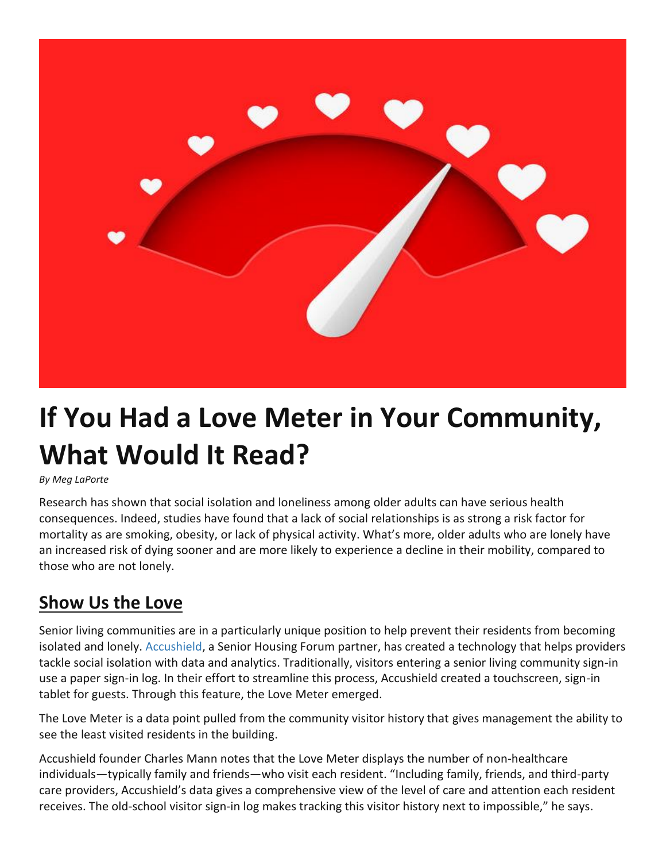

## **If You Had a Love Meter in Your Community, What Would It Read?**

## *By Meg LaPorte*

Research has shown that social isolation and loneliness among older adults can have serious health consequences. Indeed, studies have found that a lack of social relationships is as strong a risk factor for mortality as are smoking, obesity, or lack of physical activity. What's more, older adults who are lonely have an increased risk of dying sooner and are more likely to experience a decline in their mobility, compared to those who are not lonely.

## **Show Us the Love**

Senior living communities are in a particularly unique position to help prevent their residents from becoming isolated and lonely. [Accushield,](https://www.accushield.com/) a Senior Housing Forum partner, has created a technology that helps providers tackle social isolation with data and analytics. Traditionally, visitors entering a senior living community sign-in use a paper sign-in log. In their effort to streamline this process, Accushield created a touchscreen, sign-in tablet for guests. Through this feature, the Love Meter emerged.

The Love Meter is a data point pulled from the community visitor history that gives management the ability to see the least visited residents in the building.

Accushield founder Charles Mann notes that the Love Meter displays the number of non-healthcare individuals—typically family and friends—who visit each resident. "Including family, friends, and third-party care providers, Accushield's data gives a comprehensive view of the level of care and attention each resident receives. The old-school visitor sign-in log makes tracking this visitor history next to impossible," he says.